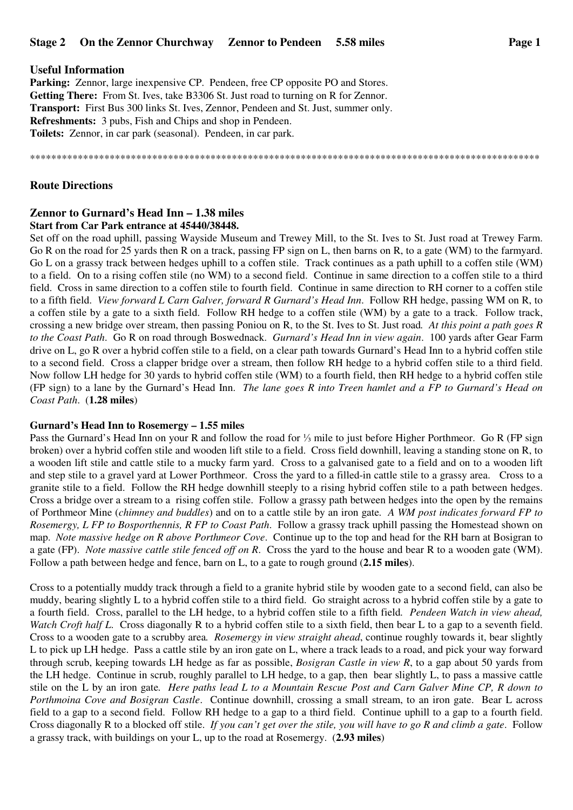## **Useful Information**

**Parking:** Zennor, large inexpensive CP. Pendeen, free CP opposite PO and Stores. **Getting There:** From St. Ives, take B3306 St. Just road to turning on R for Zennor. **Transport:** First Bus 300 links St. Ives, Zennor, Pendeen and St. Just, summer only. **Refreshments:** 3 pubs, Fish and Chips and shop in Pendeen. **Toilets:** Zennor, in car park (seasonal). Pendeen, in car park.

#### \*\*\*\*\*\*\*\*\*\*\*\*\*\*\*\*\*\*\*\*\*\*\*\*\*\*\*\*\*\*\*\*\*\*\*\*\*\*\*\*\*\*\*\*\*\*\*\*\*\*\*\*\*\*\*\*\*\*\*\*\*\*\*\*\*\*\*\*\*\*\*\*\*\*\*\*\*\*\*\*\*\*\*\*\*\*\*\*\*\*\*\*\*\*\*\*

# **Route Directions**

# **Zennor to Gurnard's Head Inn – 1.38 miles**

#### **Start from Car Park entrance at 45440/38448.**

Set off on the road uphill, passing Wayside Museum and Trewey Mill, to the St. Ives to St. Just road at Trewey Farm. Go R on the road for 25 yards then R on a track, passing FP sign on L, then barns on R, to a gate (WM) to the farmyard. Go L on a grassy track between hedges uphill to a coffen stile. Track continues as a path uphill to a coffen stile (WM) to a field. On to a rising coffen stile (no WM) to a second field. Continue in same direction to a coffen stile to a third field. Cross in same direction to a coffen stile to fourth field. Continue in same direction to RH corner to a coffen stile to a fifth field. *View forward L Carn Galver, forward R Gurnard's Head Inn*. Follow RH hedge, passing WM on R, to a coffen stile by a gate to a sixth field. Follow RH hedge to a coffen stile (WM) by a gate to a track. Follow track, crossing a new bridge over stream, then passing Poniou on R, to the St. Ives to St. Just road*. At this point a path goes R to the Coast Path*. Go R on road through Boswednack. *Gurnard's Head Inn in view again*. 100 yards after Gear Farm drive on L, go R over a hybrid coffen stile to a field, on a clear path towards Gurnard's Head Inn to a hybrid coffen stile to a second field. Cross a clapper bridge over a stream, then follow RH hedge to a hybrid coffen stile to a third field. Now follow LH hedge for 30 yards to hybrid coffen stile (WM) to a fourth field, then RH hedge to a hybrid coffen stile (FP sign) to a lane by the Gurnard's Head Inn. *The lane goes R into Treen hamlet and a FP to Gurnard's Head on Coast Path*. (**1.28 miles**)

## **Gurnard's Head Inn to Rosemergy – 1.55 miles**

Pass the Gurnard's Head Inn on your R and follow the road for ⅓ mile to just before Higher Porthmeor. Go R (FP sign broken) over a hybrid coffen stile and wooden lift stile to a field. Cross field downhill, leaving a standing stone on R, to a wooden lift stile and cattle stile to a mucky farm yard. Cross to a galvanised gate to a field and on to a wooden lift and step stile to a gravel yard at Lower Porthmeor. Cross the yard to a filled-in cattle stile to a grassy area. Cross to a granite stile to a field. Follow the RH hedge downhill steeply to a rising hybrid coffen stile to a path between hedges. Cross a bridge over a stream to a rising coffen stile. Follow a grassy path between hedges into the open by the remains of Porthmeor Mine (*chimney and buddles*) and on to a cattle stile by an iron gate*. A WM post indicates forward FP to Rosemergy, L FP to Bosporthennis, R FP to Coast Path*. Follow a grassy track uphill passing the Homestead shown on map. *Note massive hedge on R above Porthmeor Cove*. Continue up to the top and head for the RH barn at Bosigran to a gate (FP). *Note massive cattle stile fenced off on R*. Cross the yard to the house and bear R to a wooden gate (WM). Follow a path between hedge and fence, barn on L, to a gate to rough ground (**2.15 miles**).

Cross to a potentially muddy track through a field to a granite hybrid stile by wooden gate to a second field, can also be muddy, bearing slightly L to a hybrid coffen stile to a third field. Go straight across to a hybrid coffen stile by a gate to a fourth field. Cross, parallel to the LH hedge, to a hybrid coffen stile to a fifth field*. Pendeen Watch in view ahead, Watch Croft half L*. Cross diagonally R to a hybrid coffen stile to a sixth field, then bear L to a gap to a seventh field. Cross to a wooden gate to a scrubby area*. Rosemergy in view straight ahead*, continue roughly towards it, bear slightly L to pick up LH hedge. Pass a cattle stile by an iron gate on L, where a track leads to a road, and pick your way forward through scrub, keeping towards LH hedge as far as possible, *Bosigran Castle in view R*, to a gap about 50 yards from the LH hedge. Continue in scrub, roughly parallel to LH hedge, to a gap, then bear slightly L, to pass a massive cattle stile on the L by an iron gate*. Here paths lead L to a Mountain Rescue Post and Carn Galver Mine CP, R down to Porthmoina Cove and Bosigran Castle*. Continue downhill, crossing a small stream, to an iron gate. Bear L across field to a gap to a second field. Follow RH hedge to a gap to a third field. Continue uphill to a gap to a fourth field. Cross diagonally R to a blocked off stile. *If you can't get over the stile, you will have to go R and climb a gate*. Follow a grassy track, with buildings on your L, up to the road at Rosemergy. (**2.93 miles**)